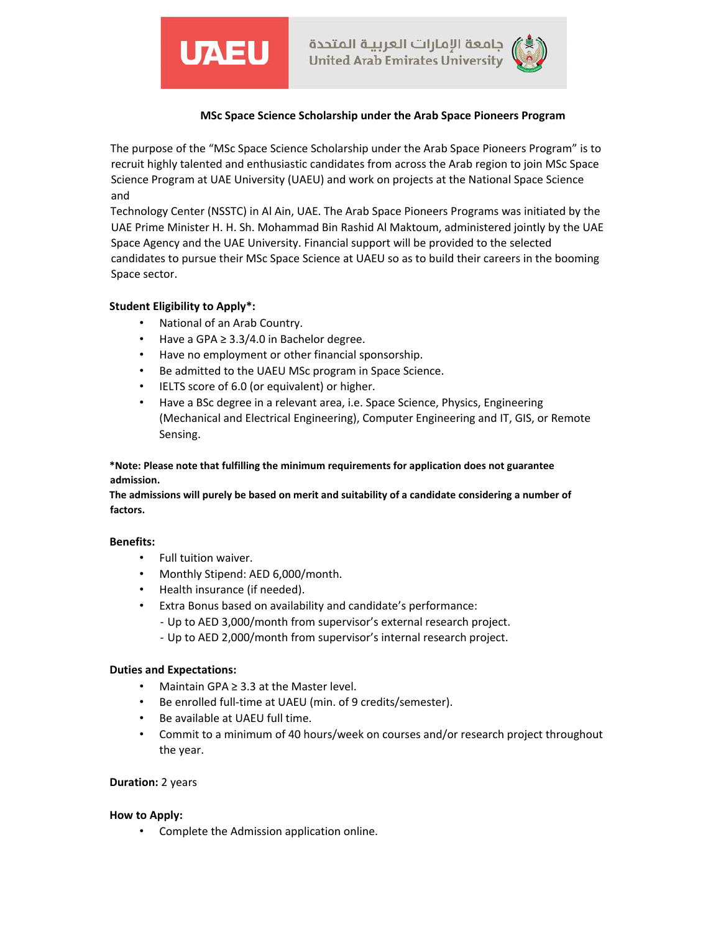



# **MSc Space Science Scholarship under the Arab Space Pioneers Program**

The purpose of the "MSc Space Science Scholarship under the Arab Space Pioneers Program" is to recruit highly talented and enthusiastic candidates from across the Arab region to join MSc Space Science Program at UAE University (UAEU) and work on projects at the National Space Science and

Technology Center (NSSTC) in Al Ain, UAE. The Arab Space Pioneers Programs was initiated by the UAE Prime Minister H. H. Sh. Mohammad Bin Rashid Al Maktoum, administered jointly by the UAE Space Agency and the UAE University. Financial support will be provided to the selected candidates to pursue their MSc Space Science at UAEU so as to build their careers in the booming Space sector.

# **Student Eligibility to Apply\*:**

- National of an Arab Country.
- Have a GPA ≥ 3.3/4.0 in Bachelor degree.
- Have no employment or other financial sponsorship.
- Be admitted to the UAEU MSc program in Space Science.
- IELTS score of 6.0 (or equivalent) or higher.
- Have a BSc degree in a relevant area, i.e. Space Science, Physics, Engineering (Mechanical and Electrical Engineering), Computer Engineering and IT, GIS, or Remote Sensing.

### **\*Note: Please note that fulfilling the minimum requirements for application does not guarantee admission.**

**The admissions will purely be based on merit and suitability of a candidate considering a number of factors.** 

#### **Benefits:**

- Full tuition waiver.
- Monthly Stipend: AED 6,000/month.
- Health insurance (if needed).
- Extra Bonus based on availability and candidate's performance:
	- ‐ Up to AED 3,000/month from supervisor's external research project.
	- ‐ Up to AED 2,000/month from supervisor's internal research project.

#### **Duties and Expectations:**

- Maintain GPA ≥ 3.3 at the Master level.
- Be enrolled full-time at UAEU (min. of 9 credits/semester).
- Be available at UAEU full time.
- Commit to a minimum of 40 hours/week on courses and/or research project throughout the year.

#### **Duration:** 2 years

#### **How to Apply:**

• Complete the Admission application online.